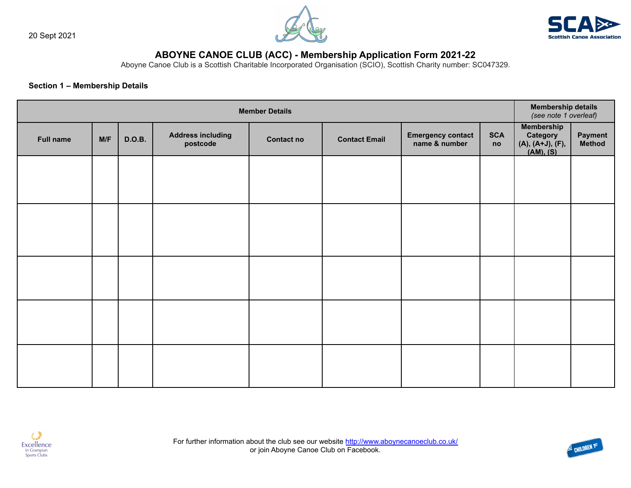





# **ABOYNE CANOE CLUB (ACC) - Membership Application Form 2021-22**

Aboyne Canoe Club is a Scottish Charitable Incorporated Organisation (SCIO), Scottish Charity number: SC047329.

# **Section 1 – Membership Details**

| <b>Member Details</b> |     |               |                                      |                   |                      |                                           | <b>Membership details</b><br>(see note 1 overleaf) |                                                                    |                          |
|-----------------------|-----|---------------|--------------------------------------|-------------------|----------------------|-------------------------------------------|----------------------------------------------------|--------------------------------------------------------------------|--------------------------|
| <b>Full name</b>      | M/F | <b>D.O.B.</b> | <b>Address including</b><br>postcode | <b>Contact no</b> | <b>Contact Email</b> | <b>Emergency contact</b><br>name & number | <b>SCA</b><br>no                                   | <b>Membership</b><br>Category<br>$(A), (A+J), (F),$<br>$(AM), (S)$ | <b>Payment</b><br>Method |
|                       |     |               |                                      |                   |                      |                                           |                                                    |                                                                    |                          |
|                       |     |               |                                      |                   |                      |                                           |                                                    |                                                                    |                          |
|                       |     |               |                                      |                   |                      |                                           |                                                    |                                                                    |                          |
|                       |     |               |                                      |                   |                      |                                           |                                                    |                                                                    |                          |
|                       |     |               |                                      |                   |                      |                                           |                                                    |                                                                    |                          |



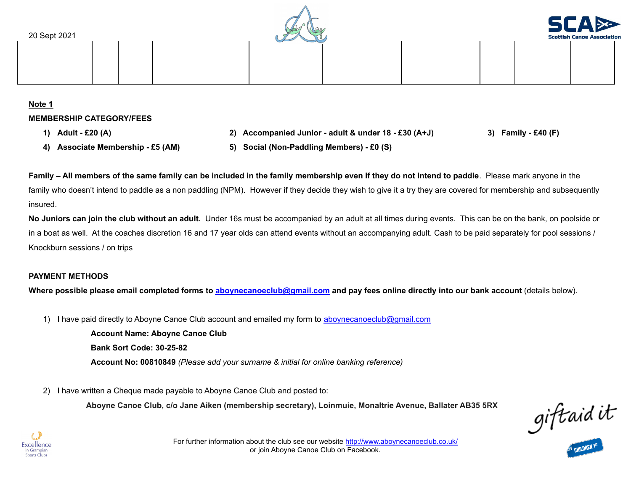



**Note 1 MEMBERSHIP CATEGORY/FEES**

- 
- 1) Adult £20 (A) (F) Companied Junior adult & under 18 £30 (A+J) 3) Family £40 (F)
- 
- **4) Associate Membership - £5 (AM) 5) Social (Non-Paddling Members) - £0 (S)**

Family – All members of the same family can be included in the family membership even if they do not intend to paddle. Please mark anyone in the family who doesn't intend to paddle as a non paddling (NPM). However if they decide they wish to give it a try they are covered for membership and subsequently insured.

**No Juniors can join the club without an adult.** Under 16s must be accompanied by an adult at all times during events. This can be on the bank, on poolside or in a boat as well. At the coaches discretion 16 and 17 year olds can attend events without an accompanying adult. Cash to be paid separately for pool sessions / Knockburn sessions / on trips

# **PAYMENT METHODS**

Where possible please email completed forms to [aboynecanoeclub@gmail.com](mailto:aboynecanoeclub@gmail.com) and pay fees online directly into our bank account (details below).

1) I have paid directly to Aboyne Canoe Club account and emailed my form to [aboynecanoeclub@gmail.com](mailto:aboynecanoeclub@gmail.com)

**Account Name: Aboyne Canoe Club Bank Sort Code: 30-25-82 Account No: 00810849** *(Please add your surname & initial for online banking reference)*

2) I have written a Cheque made payable to Aboyne Canoe Club and posted to:

**Aboyne Canoe Club, c/o Jane Aiken (membership secretary), Loinmuie, Monaltrie Avenue, Ballater AB35 5RX**

giftaid it



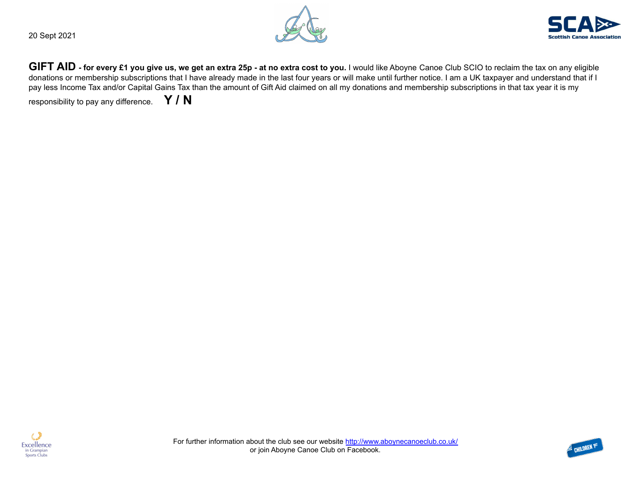20 Sept 2021





GIFT AID - for every £1 you give us, we get an extra 25p - at no extra cost to you. I would like Aboyne Canoe Club SCIO to reclaim the tax on any eligible donations or membership subscriptions that I have already made in the last four years or will make until further notice. I am a UK taxpayer and understand that if I pay less Income Tax and/or Capital Gains Tax than the amount of Gift Aid claimed on all my donations and membership subscriptions in that tax year it is my

responsibility to pay any difference. **Y / N**



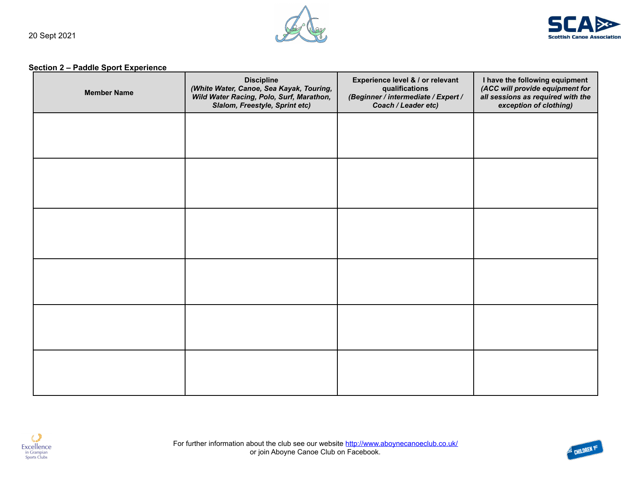



# **Section 2 – Paddle Sport Experience**

| <b>Member Name</b> | <b>Discipline</b><br>(White Water, Canoe, Sea Kayak, Touring,<br>Wild Water Racing, Polo, Surf, Marathon,<br>Slalom, Freestyle, Sprint etc) | Experience level & / or relevant<br>qualifications<br>(Beginner / intermediate / Expert /<br>Coach / Leader etc) | I have the following equipment<br>(ACC will provide equipment for<br>all sessions as required with the<br>exception of clothing) |
|--------------------|---------------------------------------------------------------------------------------------------------------------------------------------|------------------------------------------------------------------------------------------------------------------|----------------------------------------------------------------------------------------------------------------------------------|
|                    |                                                                                                                                             |                                                                                                                  |                                                                                                                                  |
|                    |                                                                                                                                             |                                                                                                                  |                                                                                                                                  |
|                    |                                                                                                                                             |                                                                                                                  |                                                                                                                                  |
|                    |                                                                                                                                             |                                                                                                                  |                                                                                                                                  |
|                    |                                                                                                                                             |                                                                                                                  |                                                                                                                                  |
|                    |                                                                                                                                             |                                                                                                                  |                                                                                                                                  |



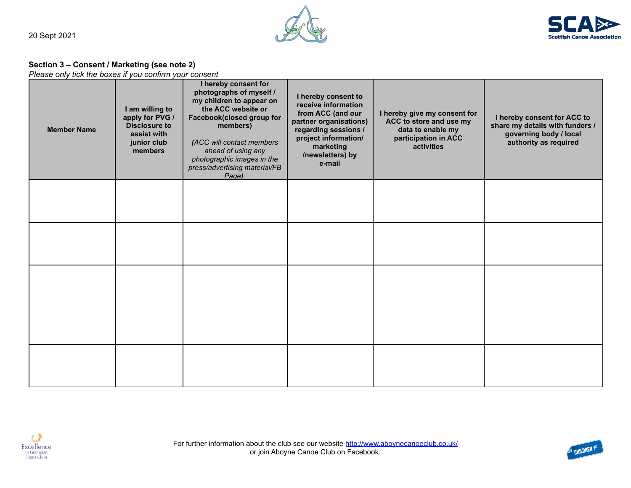



#### **Section 3 – Consent / Marketing (see note 2)**

*Please only tick the boxes if you confirm your consent*

| <b>Member Name</b> | I am willing to<br>apply for PVG /<br><b>Disclosure to</b><br>assist with<br>junior club<br>members | I hereby consent for<br>photographs of myself /<br>my children to appear on<br>the ACC website or<br>Facebook(closed group for<br>members)<br>(ACC will contact members<br>ahead of using any<br>photographic images in the<br>press/advertising material/FB<br>Page). | I hereby consent to<br>receive information<br>from ACC (and our<br>partner organisations)<br>regarding sessions /<br>project information/<br>marketing<br>/newsletters) by<br>e-mail | I hereby give my consent for<br>ACC to store and use my<br>data to enable my<br>participation in ACC<br>activities | I hereby consent for ACC to<br>share my details with funders /<br>governing body / local<br>authority as required |
|--------------------|-----------------------------------------------------------------------------------------------------|------------------------------------------------------------------------------------------------------------------------------------------------------------------------------------------------------------------------------------------------------------------------|--------------------------------------------------------------------------------------------------------------------------------------------------------------------------------------|--------------------------------------------------------------------------------------------------------------------|-------------------------------------------------------------------------------------------------------------------|
|                    |                                                                                                     |                                                                                                                                                                                                                                                                        |                                                                                                                                                                                      |                                                                                                                    |                                                                                                                   |
|                    |                                                                                                     |                                                                                                                                                                                                                                                                        |                                                                                                                                                                                      |                                                                                                                    |                                                                                                                   |
|                    |                                                                                                     |                                                                                                                                                                                                                                                                        |                                                                                                                                                                                      |                                                                                                                    |                                                                                                                   |
|                    |                                                                                                     |                                                                                                                                                                                                                                                                        |                                                                                                                                                                                      |                                                                                                                    |                                                                                                                   |
|                    |                                                                                                     |                                                                                                                                                                                                                                                                        |                                                                                                                                                                                      |                                                                                                                    |                                                                                                                   |